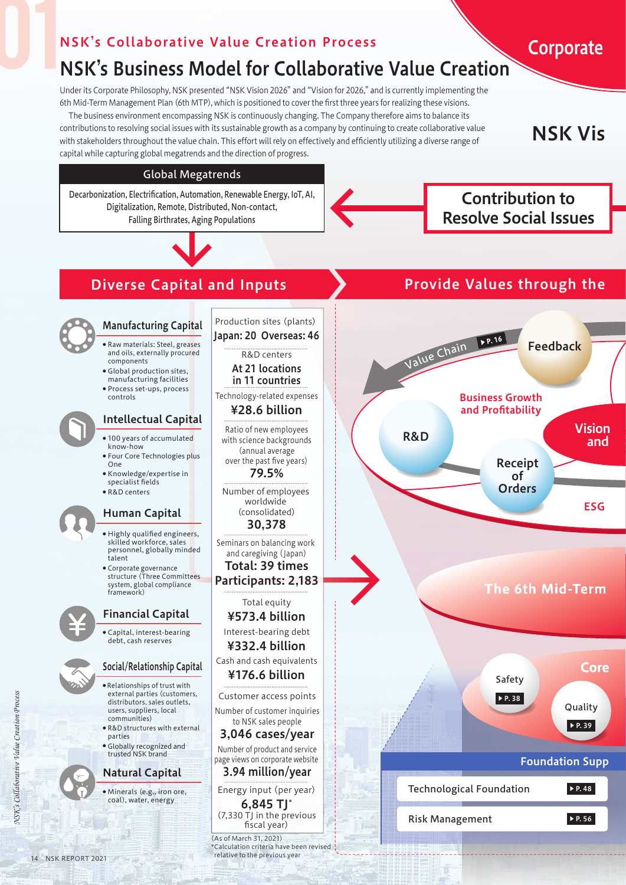## NSK's Collaborative Value Creation Process

## NSK's Business Model for Collaborative Value Creation

Under its Corporate Philosophy, NSK presented "NSK Vision 2026" and "Vision for 2026," and is currently implementing the 6th Mid-Term Management Plan (6th MTP), which is positioned to cover the first three years for realizing these visions.

 The business environment encompassing NSK is continuously changing. The Company therefore aims to balance its contributions to resolving social issues with its sustainable growth as a company by continuing to create collaborative value with stakeholders throughout the value chain. This effort will rely on effectively and efficiently utilizing a diverse range of capital while capturing global megatrends and the direction of progress.

**NSK Vis** 

Corporate

## Global Megatrends

**And Superior Community** Resolve Social Issues Decarbonization, Electrification, Automation, Renewable Energy, IoT, AI, Digitalization, Remote, Distributed, Non-contact, Falling Birthrates, Aging Populations

Contribution to